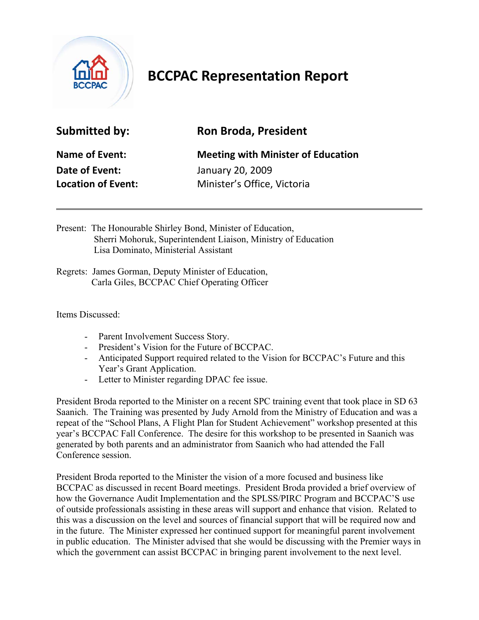

## **BCCPAC Representation Report**

| <b>Submitted by:</b> |  |
|----------------------|--|
|----------------------|--|

## **Ron Broda, President**

**Date of Event:** January 20, 2009

**Name of Event:** Meeting with Minister of Education **Location of Event:** Minister's Office, Victoria

Present: The Honourable Shirley Bond, Minister of Education, Sherri Mohoruk, Superintendent Liaison, Ministry of Education Lisa Dominato, Ministerial Assistant

Regrets: James Gorman, Deputy Minister of Education, Carla Giles, BCCPAC Chief Operating Officer

Items Discussed:

- Parent Involvement Success Story.
- President's Vision for the Future of BCCPAC.
- Anticipated Support required related to the Vision for BCCPAC's Future and this Year's Grant Application.
- Letter to Minister regarding DPAC fee issue.

President Broda reported to the Minister on a recent SPC training event that took place in SD 63 Saanich. The Training was presented by Judy Arnold from the Ministry of Education and was a repeat of the "School Plans, A Flight Plan for Student Achievement" workshop presented at this year's BCCPAC Fall Conference. The desire for this workshop to be presented in Saanich was generated by both parents and an administrator from Saanich who had attended the Fall Conference session.

President Broda reported to the Minister the vision of a more focused and business like BCCPAC as discussed in recent Board meetings. President Broda provided a brief overview of how the Governance Audit Implementation and the SPLSS/PIRC Program and BCCPAC'S use of outside professionals assisting in these areas will support and enhance that vision. Related to this was a discussion on the level and sources of financial support that will be required now and in the future. The Minister expressed her continued support for meaningful parent involvement in public education. The Minister advised that she would be discussing with the Premier ways in which the government can assist BCCPAC in bringing parent involvement to the next level.